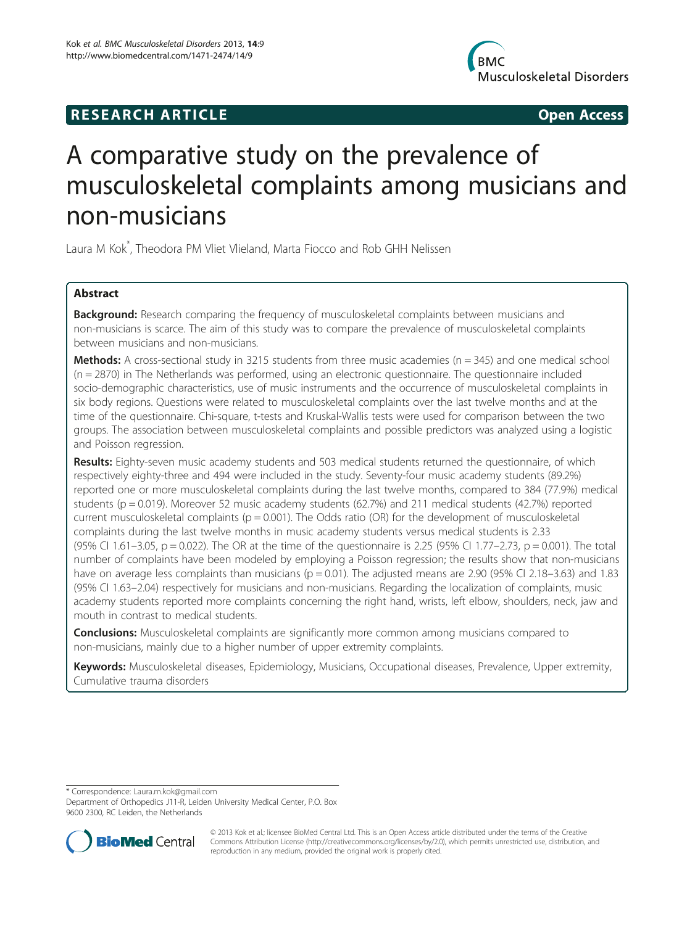



# A comparative study on the prevalence of musculoskeletal complaints among musicians and non-musicians

Laura M Kok\* , Theodora PM Vliet Vlieland, Marta Fiocco and Rob GHH Nelissen

# Abstract

Background: Research comparing the frequency of musculoskeletal complaints between musicians and non-musicians is scarce. The aim of this study was to compare the prevalence of musculoskeletal complaints between musicians and non-musicians.

Methods: A cross-sectional study in 3215 students from three music academies (n = 345) and one medical school (n = 2870) in The Netherlands was performed, using an electronic questionnaire. The questionnaire included socio-demographic characteristics, use of music instruments and the occurrence of musculoskeletal complaints in six body regions. Questions were related to musculoskeletal complaints over the last twelve months and at the time of the questionnaire. Chi-square, t-tests and Kruskal-Wallis tests were used for comparison between the two groups. The association between musculoskeletal complaints and possible predictors was analyzed using a logistic and Poisson regression.

Results: Eighty-seven music academy students and 503 medical students returned the questionnaire, of which respectively eighty-three and 494 were included in the study. Seventy-four music academy students (89.2%) reported one or more musculoskeletal complaints during the last twelve months, compared to 384 (77.9%) medical students ( $p = 0.019$ ). Moreover 52 music academy students (62.7%) and 211 medical students (42.7%) reported current musculoskeletal complaints ( $p = 0.001$ ). The Odds ratio (OR) for the development of musculoskeletal complaints during the last twelve months in music academy students versus medical students is 2.33 (95% CI 1.61–3.05, p = 0.022). The OR at the time of the questionnaire is 2.25 (95% CI 1.77–2.73, p = 0.001). The total number of complaints have been modeled by employing a Poisson regression; the results show that non-musicians have on average less complaints than musicians ( $p = 0.01$ ). The adjusted means are 2.90 (95% CI 2.18–3.63) and 1.83 (95% CI 1.63–2.04) respectively for musicians and non-musicians. Regarding the localization of complaints, music academy students reported more complaints concerning the right hand, wrists, left elbow, shoulders, neck, jaw and mouth in contrast to medical students.

**Conclusions:** Musculoskeletal complaints are significantly more common among musicians compared to non-musicians, mainly due to a higher number of upper extremity complaints.

Keywords: Musculoskeletal diseases, Epidemiology, Musicians, Occupational diseases, Prevalence, Upper extremity, Cumulative trauma disorders

\* Correspondence: [Laura.m.kok@gmail.com](mailto:Laura.m.kok@gmail.com)

Department of Orthopedics J11-R, Leiden University Medical Center, P.O. Box 9600 2300, RC Leiden, the Netherlands



© 2013 Kok et al.; licensee BioMed Central Ltd. This is an Open Access article distributed under the terms of the Creative Commons Attribution License [\(http://creativecommons.org/licenses/by/2.0\)](http://creativecommons.org/licenses/by/2.0), which permits unrestricted use, distribution, and reproduction in any medium, provided the original work is properly cited.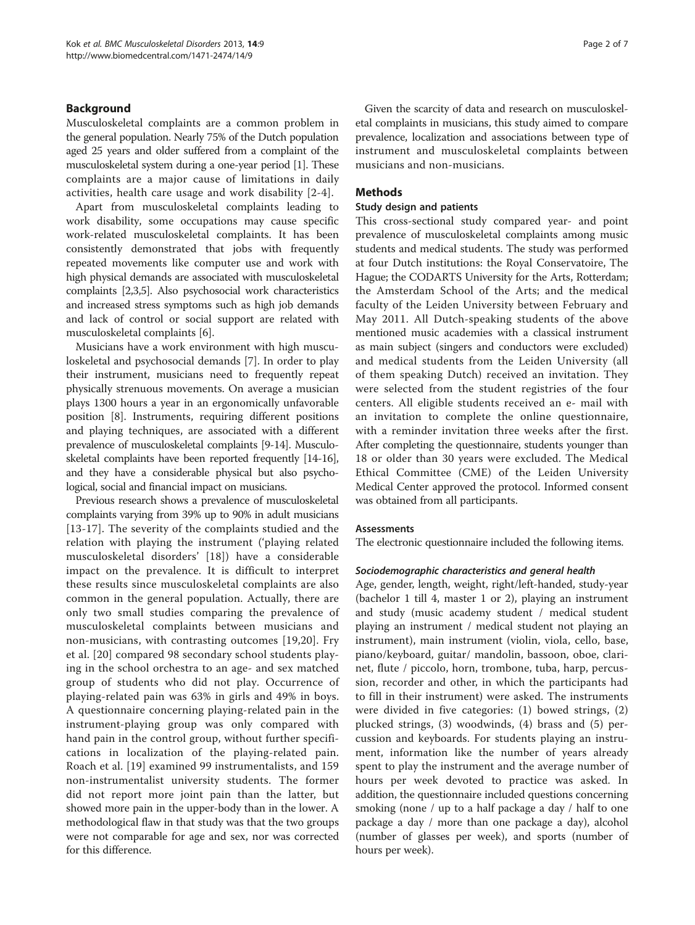# Background

Musculoskeletal complaints are a common problem in the general population. Nearly 75% of the Dutch population aged 25 years and older suffered from a complaint of the musculoskeletal system during a one-year period [\[1](#page-5-0)]. These complaints are a major cause of limitations in daily activities, health care usage and work disability [[2-4\]](#page-5-0).

Apart from musculoskeletal complaints leading to work disability, some occupations may cause specific work-related musculoskeletal complaints. It has been consistently demonstrated that jobs with frequently repeated movements like computer use and work with high physical demands are associated with musculoskeletal complaints [\[2,3,5\]](#page-5-0). Also psychosocial work characteristics and increased stress symptoms such as high job demands and lack of control or social support are related with musculoskeletal complaints [[6](#page-5-0)].

Musicians have a work environment with high musculoskeletal and psychosocial demands [[7](#page-5-0)]. In order to play their instrument, musicians need to frequently repeat physically strenuous movements. On average a musician plays 1300 hours a year in an ergonomically unfavorable position [\[8](#page-5-0)]. Instruments, requiring different positions and playing techniques, are associated with a different prevalence of musculoskeletal complaints [\[9-14\]](#page-6-0). Musculoskeletal complaints have been reported frequently [\[14-16](#page-6-0)], and they have a considerable physical but also psychological, social and financial impact on musicians.

Previous research shows a prevalence of musculoskeletal complaints varying from 39% up to 90% in adult musicians [[13](#page-6-0)-[17\]](#page-6-0). The severity of the complaints studied and the relation with playing the instrument ('playing related musculoskeletal disorders' [[18\]](#page-6-0)) have a considerable impact on the prevalence. It is difficult to interpret these results since musculoskeletal complaints are also common in the general population. Actually, there are only two small studies comparing the prevalence of musculoskeletal complaints between musicians and non-musicians, with contrasting outcomes [\[19](#page-6-0),[20\]](#page-6-0). Fry et al. [[20](#page-6-0)] compared 98 secondary school students playing in the school orchestra to an age- and sex matched group of students who did not play. Occurrence of playing-related pain was 63% in girls and 49% in boys. A questionnaire concerning playing-related pain in the instrument-playing group was only compared with hand pain in the control group, without further specifications in localization of the playing-related pain. Roach et al. [[19\]](#page-6-0) examined 99 instrumentalists, and 159 non-instrumentalist university students. The former did not report more joint pain than the latter, but showed more pain in the upper-body than in the lower. A methodological flaw in that study was that the two groups were not comparable for age and sex, nor was corrected for this difference.

Given the scarcity of data and research on musculoskeletal complaints in musicians, this study aimed to compare prevalence, localization and associations between type of instrument and musculoskeletal complaints between musicians and non-musicians.

# **Methods**

## Study design and patients

This cross-sectional study compared year- and point prevalence of musculoskeletal complaints among music students and medical students. The study was performed at four Dutch institutions: the Royal Conservatoire, The Hague; the CODARTS University for the Arts, Rotterdam; the Amsterdam School of the Arts; and the medical faculty of the Leiden University between February and May 2011. All Dutch-speaking students of the above mentioned music academies with a classical instrument as main subject (singers and conductors were excluded) and medical students from the Leiden University (all of them speaking Dutch) received an invitation. They were selected from the student registries of the four centers. All eligible students received an e- mail with an invitation to complete the online questionnaire, with a reminder invitation three weeks after the first. After completing the questionnaire, students younger than 18 or older than 30 years were excluded. The Medical Ethical Committee (CME) of the Leiden University Medical Center approved the protocol. Informed consent was obtained from all participants.

# **Assessments**

The electronic questionnaire included the following items.

## Sociodemographic characteristics and general health

Age, gender, length, weight, right/left-handed, study-year (bachelor 1 till 4, master 1 or 2), playing an instrument and study (music academy student / medical student playing an instrument / medical student not playing an instrument), main instrument (violin, viola, cello, base, piano/keyboard, guitar/ mandolin, bassoon, oboe, clarinet, flute / piccolo, horn, trombone, tuba, harp, percussion, recorder and other, in which the participants had to fill in their instrument) were asked. The instruments were divided in five categories: (1) bowed strings, (2) plucked strings, (3) woodwinds, (4) brass and (5) percussion and keyboards. For students playing an instrument, information like the number of years already spent to play the instrument and the average number of hours per week devoted to practice was asked. In addition, the questionnaire included questions concerning smoking (none / up to a half package a day / half to one package a day / more than one package a day), alcohol (number of glasses per week), and sports (number of hours per week).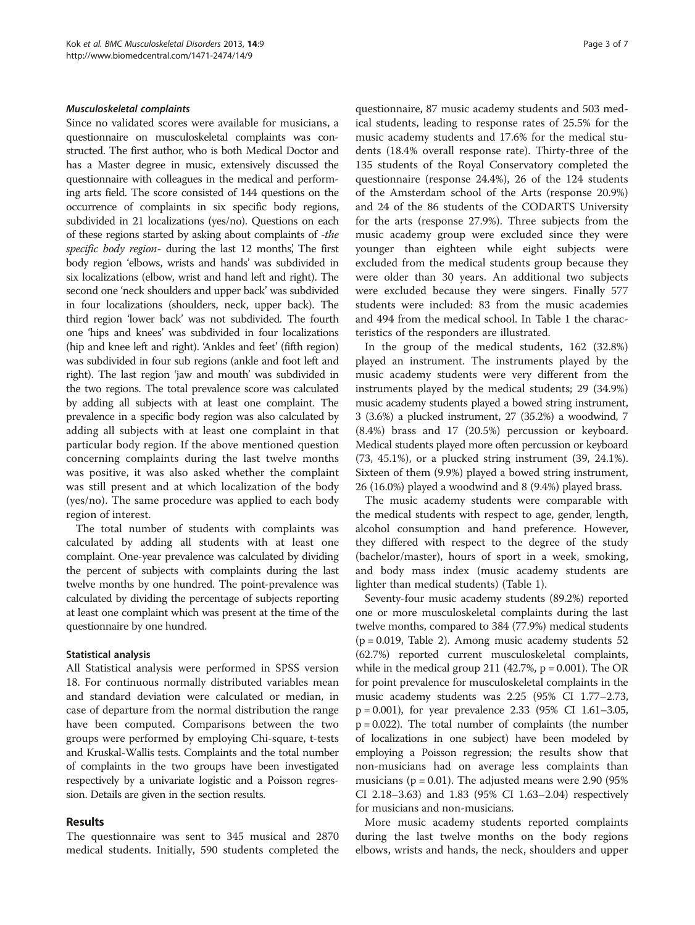## Musculoskeletal complaints

Since no validated scores were available for musicians, a questionnaire on musculoskeletal complaints was constructed. The first author, who is both Medical Doctor and has a Master degree in music, extensively discussed the questionnaire with colleagues in the medical and performing arts field. The score consisted of 144 questions on the occurrence of complaints in six specific body regions, subdivided in 21 localizations (yes/no). Questions on each of these regions started by asking about complaints of -the specific body region- during the last 12 months, The first body region 'elbows, wrists and hands' was subdivided in six localizations (elbow, wrist and hand left and right). The second one 'neck shoulders and upper back' was subdivided in four localizations (shoulders, neck, upper back). The third region 'lower back' was not subdivided. The fourth one 'hips and knees' was subdivided in four localizations (hip and knee left and right). 'Ankles and feet' (fifth region) was subdivided in four sub regions (ankle and foot left and right). The last region 'jaw and mouth' was subdivided in the two regions. The total prevalence score was calculated by adding all subjects with at least one complaint. The prevalence in a specific body region was also calculated by adding all subjects with at least one complaint in that particular body region. If the above mentioned question concerning complaints during the last twelve months was positive, it was also asked whether the complaint was still present and at which localization of the body (yes/no). The same procedure was applied to each body region of interest.

The total number of students with complaints was calculated by adding all students with at least one complaint. One-year prevalence was calculated by dividing the percent of subjects with complaints during the last twelve months by one hundred. The point-prevalence was calculated by dividing the percentage of subjects reporting at least one complaint which was present at the time of the questionnaire by one hundred.

## Statistical analysis

All Statistical analysis were performed in SPSS version 18. For continuous normally distributed variables mean and standard deviation were calculated or median, in case of departure from the normal distribution the range have been computed. Comparisons between the two groups were performed by employing Chi-square, t-tests and Kruskal-Wallis tests. Complaints and the total number of complaints in the two groups have been investigated respectively by a univariate logistic and a Poisson regression. Details are given in the section results.

# Results

The questionnaire was sent to 345 musical and 2870 medical students. Initially, 590 students completed the

questionnaire, 87 music academy students and 503 medical students, leading to response rates of 25.5% for the music academy students and 17.6% for the medical students (18.4% overall response rate). Thirty-three of the 135 students of the Royal Conservatory completed the questionnaire (response 24.4%), 26 of the 124 students of the Amsterdam school of the Arts (response 20.9%) and 24 of the 86 students of the CODARTS University for the arts (response 27.9%). Three subjects from the music academy group were excluded since they were younger than eighteen while eight subjects were excluded from the medical students group because they were older than 30 years. An additional two subjects were excluded because they were singers. Finally 577 students were included: 83 from the music academies and 494 from the medical school. In Table [1](#page-3-0) the characteristics of the responders are illustrated.

In the group of the medical students, 162 (32.8%) played an instrument. The instruments played by the music academy students were very different from the instruments played by the medical students; 29 (34.9%) music academy students played a bowed string instrument, 3 (3.6%) a plucked instrument, 27 (35.2%) a woodwind, 7 (8.4%) brass and 17 (20.5%) percussion or keyboard. Medical students played more often percussion or keyboard (73, 45.1%), or a plucked string instrument (39, 24.1%). Sixteen of them (9.9%) played a bowed string instrument, 26 (16.0%) played a woodwind and 8 (9.4%) played brass.

The music academy students were comparable with the medical students with respect to age, gender, length, alcohol consumption and hand preference. However, they differed with respect to the degree of the study (bachelor/master), hours of sport in a week, smoking, and body mass index (music academy students are lighter than medical students) (Table [1\)](#page-3-0).

Seventy-four music academy students (89.2%) reported one or more musculoskeletal complaints during the last twelve months, compared to 384 (77.9%) medical students  $(p = 0.019,$  Table [2](#page-3-0)). Among music academy students 52 (62.7%) reported current musculoskeletal complaints, while in the medical group 211 (42.7%,  $p = 0.001$ ). The OR for point prevalence for musculoskeletal complaints in the music academy students was 2.25 (95% CI 1.77–2.73, p = 0.001), for year prevalence 2.33 (95% CI 1.61–3.05,  $p = 0.022$ ). The total number of complaints (the number of localizations in one subject) have been modeled by employing a Poisson regression; the results show that non-musicians had on average less complaints than musicians ( $p = 0.01$ ). The adjusted means were 2.90 (95%) CI 2.18–3.63) and 1.83 (95% CI 1.63–2.04) respectively for musicians and non-musicians.

More music academy students reported complaints during the last twelve months on the body regions elbows, wrists and hands, the neck, shoulders and upper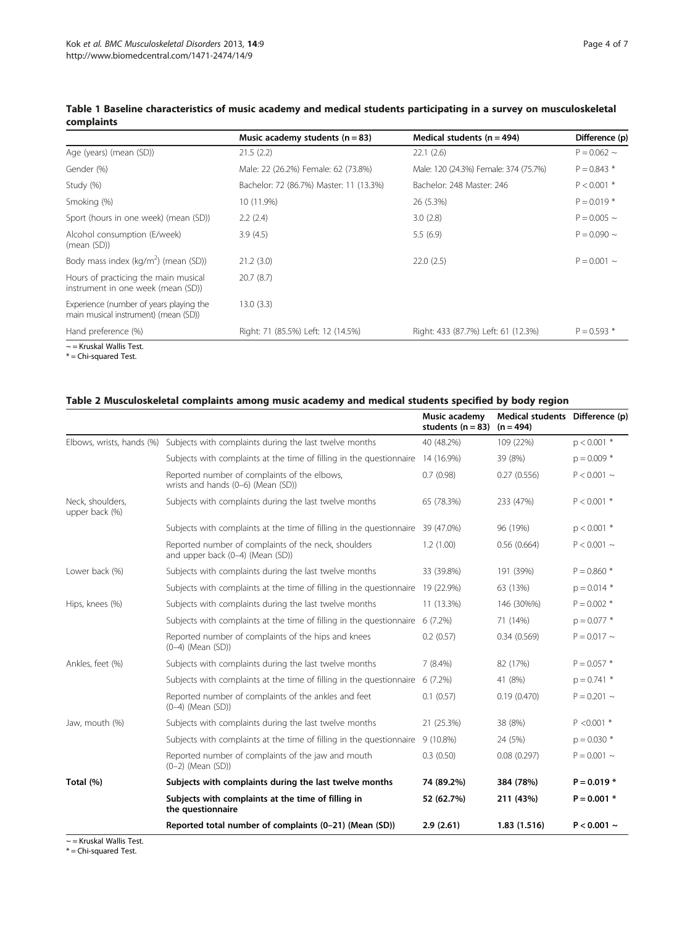|                                                                                 | Music academy students $(n = 83)$<br>Medical students ( $n = 494$ ) |                                       | Difference (p) |  |
|---------------------------------------------------------------------------------|---------------------------------------------------------------------|---------------------------------------|----------------|--|
| Age (years) (mean (SD))                                                         | 21.5(2.2)                                                           | 22.1(2.6)                             | $P = 0.062$ ~  |  |
| Gender (%)                                                                      | Male: 22 (26.2%) Female: 62 (73.8%)                                 | Male: 120 (24.3%) Female: 374 (75.7%) | $P = 0.843$ *  |  |
| Study (%)                                                                       | Bachelor: 72 (86.7%) Master: 11 (13.3%)                             | Bachelor: 248 Master: 246             | $P < 0.001$ *  |  |
| Smoking (%)                                                                     | 10 (11.9%)                                                          | 26 (5.3%)                             | $P = 0.019$ *  |  |
| Sport (hours in one week) (mean (SD))                                           | 2.2(2.4)                                                            | 3.0(2.8)                              | $P = 0.005$ ~  |  |
| Alcohol consumption (E/week)<br>(mean (SD))                                     | 3.9(4.5)                                                            | 5.5(6.9)                              | $P = 0.090$ ~  |  |
| Body mass index ( $\text{kg/m}^2$ ) (mean (SD))                                 | 21.2(3.0)                                                           | 22.0(2.5)                             | $P = 0.001$ ~  |  |
| Hours of practicing the main musical<br>instrument in one week (mean (SD))      | 20.7(8.7)                                                           |                                       |                |  |
| Experience (number of years playing the<br>main musical instrument) (mean (SD)) | 13.0(3.3)                                                           |                                       |                |  |
| Hand preference (%)                                                             | Right: 71 (85.5%) Left: 12 (14.5%)                                  | Right: 433 (87.7%) Left: 61 (12.3%)   | $P = 0.593$ *  |  |
|                                                                                 |                                                                     |                                       |                |  |

# <span id="page-3-0"></span>Table 1 Baseline characteristics of music academy and medical students participating in a survey on musculoskeletal complaints

 $=$  Kruskal Wallis Test.

 $*$  = Chi-squared Test.

# Table 2 Musculoskeletal complaints among music academy and medical students specified by body region

|                                    |                                                                                          | Music academy<br>students $(n = 83)$ | Medical students Difference (p)<br>$(n = 494)$ |               |
|------------------------------------|------------------------------------------------------------------------------------------|--------------------------------------|------------------------------------------------|---------------|
| Elbows, wrists, hands (%)          | Subjects with complaints during the last twelve months                                   | 40 (48.2%)                           | 109 (22%)                                      | $p < 0.001$ * |
|                                    | Subjects with complaints at the time of filling in the questionnaire                     | 14 (16.9%)                           | 39 (8%)                                        | $p = 0.009$ * |
|                                    | Reported number of complaints of the elbows,<br>wrists and hands (0-6) (Mean (SD))       | 0.7(0.98)                            | 0.27(0.556)                                    | $P < 0.001$ ~ |
| Neck, shoulders,<br>upper back (%) | Subjects with complaints during the last twelve months                                   | 65 (78.3%)                           | 233 (47%)                                      | $P < 0.001$ * |
|                                    | Subjects with complaints at the time of filling in the questionnaire 39 (47.0%)          |                                      | 96 (19%)                                       | $p < 0.001$ * |
|                                    | Reported number of complaints of the neck, shoulders<br>and upper back (0-4) (Mean (SD)) | 1.2(1.00)                            | 0.56(0.664)                                    | $P < 0.001$ ~ |
| Lower back (%)                     | Subjects with complaints during the last twelve months                                   | 33 (39.8%)                           | 191 (39%)                                      | $P = 0.860$ * |
|                                    | Subjects with complaints at the time of filling in the questionnaire                     | 19 (22.9%)                           | 63 (13%)                                       | $p = 0.014$ * |
| Hips, knees (%)                    | Subjects with complaints during the last twelve months                                   | 11 (13.3%)                           | 146 (30%%)                                     | $P = 0.002$ * |
|                                    | Subjects with complaints at the time of filling in the questionnaire                     | $6(7.2\%)$                           | 71 (14%)                                       | $p = 0.077$ * |
|                                    | Reported number of complaints of the hips and knees<br>$(0-4)$ (Mean $(SD)$ )            | 0.2(0.57)                            | 0.34(0.569)                                    | $P = 0.017$ ~ |
| Ankles, feet (%)                   | Subjects with complaints during the last twelve months                                   | $7(8.4\%)$                           | 82 (17%)                                       | $P = 0.057$ * |
|                                    | Subjects with complaints at the time of filling in the questionnaire                     | $6(7.2\%)$                           | 41 (8%)                                        | $p = 0.741$ * |
|                                    | Reported number of complaints of the ankles and feet<br>$(0-4)$ (Mean $(SD)$ )           | 0.1(0.57)                            | 0.19(0.470)                                    | $P = 0.201$ ~ |
| Jaw, mouth (%)                     | Subjects with complaints during the last twelve months                                   | 21 (25.3%)                           | 38 (8%)                                        | $P < 0.001$ * |
|                                    | Subjects with complaints at the time of filling in the questionnaire                     | $9(10.8\%)$                          | 24 (5%)                                        | $p = 0.030*$  |
|                                    | Reported number of complaints of the jaw and mouth<br>$(0-2)$ (Mean $(SD)$ )             | 0.3(0.50)                            | 0.08(0.297)                                    | $P = 0.001$ ~ |
| Total (%)                          | Subjects with complaints during the last twelve months                                   | 74 (89.2%)                           | 384 (78%)                                      | $P = 0.019$ * |
|                                    | Subjects with complaints at the time of filling in<br>the questionnaire                  | 52 (62.7%)                           | 211 (43%)                                      | $P = 0.001$ * |
|                                    | Reported total number of complaints (0-21) (Mean (SD))                                   | 2.9(2.61)                            | 1.83(1.516)                                    | $P < 0.001$ ~ |

 $\sim$  = Kruskal Wallis Test.

 $*$  = Chi-squared Test.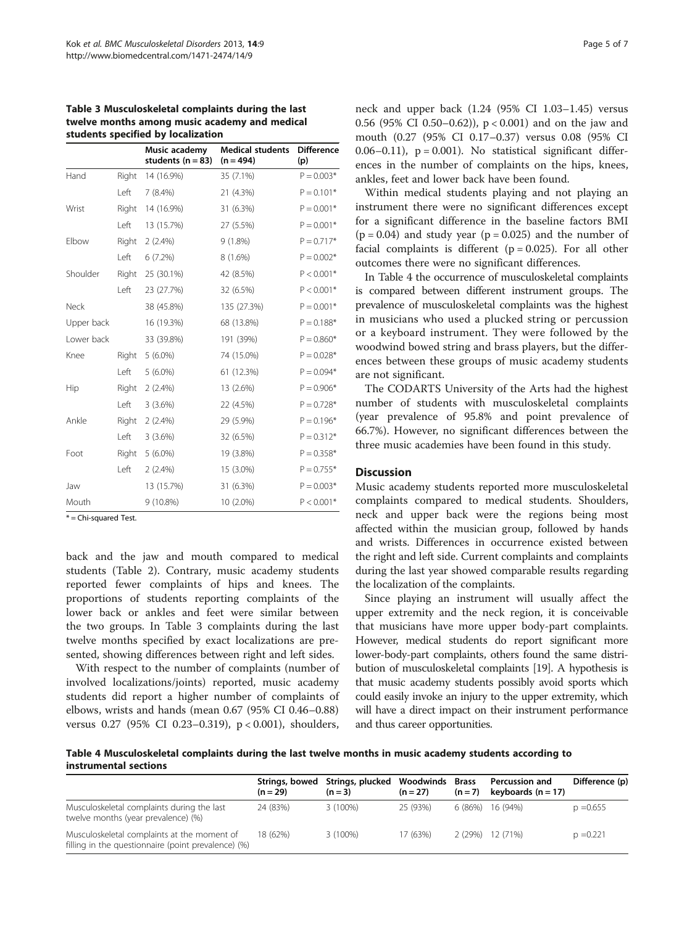Table 3 Musculoskeletal complaints during the last twelve months among music academy and medical students specified by localization

|            |       | Music academy<br>students $(n = 83)$ | <b>Medical students</b><br>$(n = 494)$ | <b>Difference</b><br>(p) |
|------------|-------|--------------------------------------|----------------------------------------|--------------------------|
| Hand       | Right | 14 (16.9%)                           | 35 (7.1%)                              | $P = 0.003*$             |
|            | Left  | 7 (8.4%)                             | 21 (4.3%)                              | $P = 0.101*$             |
| Wrist      | Right | 14 (16.9%)                           | 31 (6.3%)                              | $P = 0.001*$             |
|            | Left  | 13 (15.7%)                           | 27 (5.5%)                              | $P = 0.001*$             |
| Elbow      | Right | 2(2.4%)                              | $9(1.8\%)$                             | $P = 0.717*$             |
|            | Left  | 6(7.2%)                              | 8(1.6%)                                | $P = 0.002*$             |
| Shoulder   | Right | 25 (30.1%)                           | 42 (8.5%)                              | $P < 0.001*$             |
|            | Left  | 23 (27.7%)                           | 32 (6.5%)                              | $P < 0.001*$             |
| Neck       |       | 38 (45.8%)                           | 135 (27.3%)                            | $P = 0.001*$             |
| Upper back |       | 16 (19.3%)                           | 68 (13.8%)                             | $P = 0.188*$             |
| Lower back |       | 33 (39.8%)                           | 191 (39%)                              | $P = 0.860*$             |
| Knee       | Right | $5(6.0\%)$                           | 74 (15.0%)                             | $P = 0.028*$             |
|            | Left  | $5(6.0\%)$                           | 61 (12.3%)                             | $P = 0.094*$             |
| Hip        | Right | $2(2.4\%)$                           | 13 (2.6%)                              | $P = 0.906*$             |
|            | Left  | 3(3.6%)                              | 22 (4.5%)                              | $P = 0.728*$             |
| Ankle      | Right | 2(2.4%)                              | 29 (5.9%)                              | $P = 0.196*$             |
|            | Left  | 3(3.6%)                              | 32 (6.5%)                              | $P = 0.312*$             |
| Foot       | Right | $5(6.0\%)$                           | 19 (3.8%)                              | $P = 0.358*$             |
|            | Left  | 2(2.4%)                              | 15 (3.0%)                              | $P = 0.755*$             |
| Jaw        |       | 13 (15.7%)                           | 31 (6.3%)                              | $P = 0.003*$             |
| Mouth      |       | 9 (10.8%)                            | 10 (2.0%)                              | $P < 0.001*$             |

 $*$  = Chi-squared Test.

back and the jaw and mouth compared to medical students (Table [2\)](#page-3-0). Contrary, music academy students reported fewer complaints of hips and knees. The proportions of students reporting complaints of the lower back or ankles and feet were similar between the two groups. In Table 3 complaints during the last twelve months specified by exact localizations are presented, showing differences between right and left sides.

With respect to the number of complaints (number of involved localizations/joints) reported, music academy students did report a higher number of complaints of elbows, wrists and hands (mean 0.67 (95% CI 0.46–0.88) versus 0.27 (95% CI 0.23–0.319), p < 0.001), shoulders, neck and upper back (1.24 (95% CI 1.03–1.45) versus 0.56 (95% CI 0.50–0.62)), p < 0.001) and on the jaw and mouth (0.27 (95% CI 0.17–0.37) versus 0.08 (95% CI 0.06–0.11),  $p = 0.001$ ). No statistical significant differences in the number of complaints on the hips, knees, ankles, feet and lower back have been found.

Within medical students playing and not playing an instrument there were no significant differences except for a significant difference in the baseline factors BMI  $(p = 0.04)$  and study year  $(p = 0.025)$  and the number of facial complaints is different ( $p = 0.025$ ). For all other outcomes there were no significant differences.

In Table 4 the occurrence of musculoskeletal complaints is compared between different instrument groups. The prevalence of musculoskeletal complaints was the highest in musicians who used a plucked string or percussion or a keyboard instrument. They were followed by the woodwind bowed string and brass players, but the differences between these groups of music academy students are not significant.

The CODARTS University of the Arts had the highest number of students with musculoskeletal complaints (year prevalence of 95.8% and point prevalence of 66.7%). However, no significant differences between the three music academies have been found in this study.

## **Discussion**

Music academy students reported more musculoskeletal complaints compared to medical students. Shoulders, neck and upper back were the regions being most affected within the musician group, followed by hands and wrists. Differences in occurrence existed between the right and left side. Current complaints and complaints during the last year showed comparable results regarding the localization of the complaints.

Since playing an instrument will usually affect the upper extremity and the neck region, it is conceivable that musicians have more upper body-part complaints. However, medical students do report significant more lower-body-part complaints, others found the same distribution of musculoskeletal complaints [[19](#page-6-0)]. A hypothesis is that music academy students possibly avoid sports which could easily invoke an injury to the upper extremity, which will have a direct impact on their instrument performance and thus career opportunities.

Table 4 Musculoskeletal complaints during the last twelve months in music academy students according to instrumental sections

|                                                                                                    | $(n = 29)$ | Strings, bowed Strings, plucked Woodwinds Brass<br>$(n = 3)$ | $(n = 27)$ | $(n = 7)$ | <b>Percussion and</b><br>keyboards ( $n = 17$ ) | Difference (p) |
|----------------------------------------------------------------------------------------------------|------------|--------------------------------------------------------------|------------|-----------|-------------------------------------------------|----------------|
| Musculoskeletal complaints during the last<br>twelve months (year prevalence) (%)                  | 24 (83%)   | 3 (100%)                                                     | 25 (93%)   |           | 6 (86%) 16 (94%)                                | $p = 0.655$    |
| Musculoskeletal complaints at the moment of<br>filling in the questionnaire (point prevalence) (%) | 18 (62%)   | 3 (100%)                                                     | 17(63%)    |           | 2 (29%) 12 (71%)                                | $p = 0.221$    |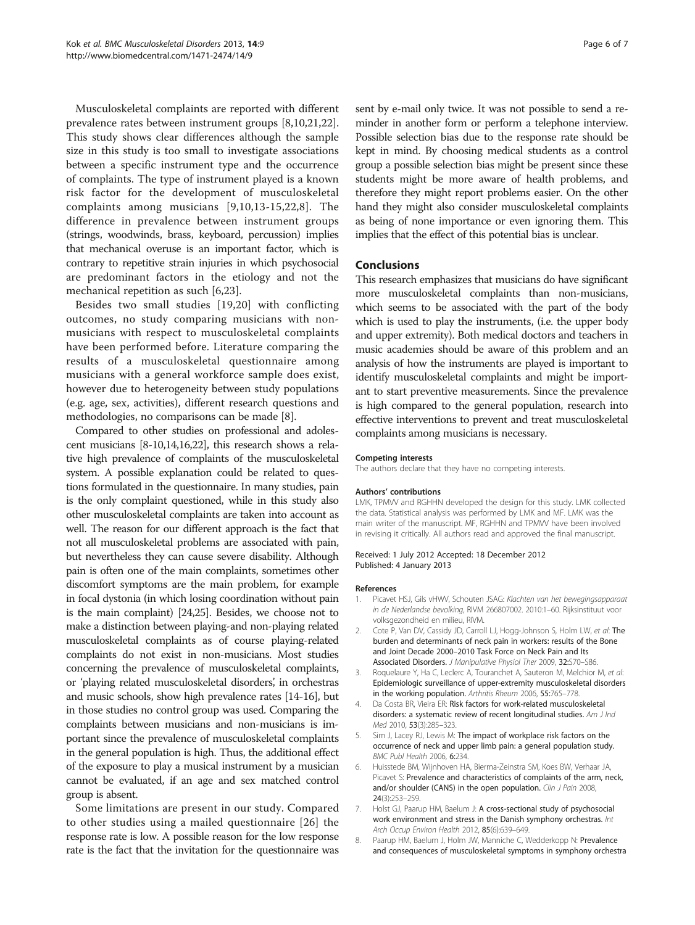<span id="page-5-0"></span>Musculoskeletal complaints are reported with different prevalence rates between instrument groups [8[,10,21,22](#page-6-0)]. This study shows clear differences although the sample size in this study is too small to investigate associations between a specific instrument type and the occurrence of complaints. The type of instrument played is a known risk factor for the development of musculoskeletal complaints among musicians [[9,10](#page-6-0),[13-15,22](#page-6-0),8]. The difference in prevalence between instrument groups (strings, woodwinds, brass, keyboard, percussion) implies that mechanical overuse is an important factor, which is contrary to repetitive strain injuries in which psychosocial are predominant factors in the etiology and not the mechanical repetition as such [6,[23\]](#page-6-0).

Besides two small studies [[19,20](#page-6-0)] with conflicting outcomes, no study comparing musicians with nonmusicians with respect to musculoskeletal complaints have been performed before. Literature comparing the results of a musculoskeletal questionnaire among musicians with a general workforce sample does exist, however due to heterogeneity between study populations (e.g. age, sex, activities), different research questions and methodologies, no comparisons can be made [8].

Compared to other studies on professional and adolescent musicians [8-[10,14,16,22](#page-6-0)], this research shows a relative high prevalence of complaints of the musculoskeletal system. A possible explanation could be related to questions formulated in the questionnaire. In many studies, pain is the only complaint questioned, while in this study also other musculoskeletal complaints are taken into account as well. The reason for our different approach is the fact that not all musculoskeletal problems are associated with pain, but nevertheless they can cause severe disability. Although pain is often one of the main complaints, sometimes other discomfort symptoms are the main problem, for example in focal dystonia (in which losing coordination without pain is the main complaint) [\[24,25](#page-6-0)]. Besides, we choose not to make a distinction between playing-and non-playing related musculoskeletal complaints as of course playing-related complaints do not exist in non-musicians. Most studies concerning the prevalence of musculoskeletal complaints, or 'playing related musculoskeletal disorders', in orchestras and music schools, show high prevalence rates [\[14-16](#page-6-0)], but in those studies no control group was used. Comparing the complaints between musicians and non-musicians is important since the prevalence of musculoskeletal complaints in the general population is high. Thus, the additional effect of the exposure to play a musical instrument by a musician cannot be evaluated, if an age and sex matched control group is absent.

Some limitations are present in our study. Compared to other studies using a mailed questionnaire [[26](#page-6-0)] the response rate is low. A possible reason for the low response rate is the fact that the invitation for the questionnaire was sent by e-mail only twice. It was not possible to send a reminder in another form or perform a telephone interview. Possible selection bias due to the response rate should be kept in mind. By choosing medical students as a control group a possible selection bias might be present since these students might be more aware of health problems, and therefore they might report problems easier. On the other hand they might also consider musculoskeletal complaints as being of none importance or even ignoring them. This implies that the effect of this potential bias is unclear.

## Conclusions

This research emphasizes that musicians do have significant more musculoskeletal complaints than non-musicians, which seems to be associated with the part of the body which is used to play the instruments, (i.e. the upper body and upper extremity). Both medical doctors and teachers in music academies should be aware of this problem and an analysis of how the instruments are played is important to identify musculoskeletal complaints and might be important to start preventive measurements. Since the prevalence is high compared to the general population, research into effective interventions to prevent and treat musculoskeletal complaints among musicians is necessary.

#### Competing interests

The authors declare that they have no competing interests.

#### Authors' contributions

LMK, TPMVV and RGHHN developed the design for this study. LMK collected the data. Statistical analysis was performed by LMK and MF. LMK was the main writer of the manuscript. MF, RGHHN and TPMVV have been involved in revising it critically. All authors read and approved the final manuscript.

#### Received: 1 July 2012 Accepted: 18 December 2012 Published: 4 January 2013

#### References

- 1. Picavet HSJ, Gils vHWV, Schouten JSAG: Klachten van het bewegingsapparaat in de Nederlandse bevolking, RIVM 266807002. 2010:1–60. Rijksinstituut voor volksgezondheid en milieu, RIVM.
- 2. Cote P, Van DV, Cassidy JD, Carroll LJ, Hogg-Johnson S, Holm LW, et al: The burden and determinants of neck pain in workers: results of the Bone and Joint Decade 2000–2010 Task Force on Neck Pain and Its Associated Disorders. J Manipulative Physiol Ther 2009, 32:S70–S86.
- 3. Roquelaure Y, Ha C, Leclerc A, Touranchet A, Sauteron M, Melchior M, et al: Epidemiologic surveillance of upper-extremity musculoskeletal disorders in the working population. Arthritis Rheum 2006, 55:765–778.
- 4. Da Costa BR, Vieira ER: Risk factors for work-related musculoskeletal disorders: a systematic review of recent longitudinal studies. Am J Ind Med 2010, 53(3):285–323.
- 5. Sim J, Lacey RJ, Lewis M: The impact of workplace risk factors on the occurrence of neck and upper limb pain: a general population study. BMC Publ Health 2006, 6:234.
- 6. Huisstede BM, Wijnhoven HA, Bierma-Zeinstra SM, Koes BW, Verhaar JA, Picavet S: Prevalence and characteristics of complaints of the arm, neck, and/or shoulder (CANS) in the open population. Clin J Pain 2008, 24(3):253–259.
- 7. Holst GJ, Paarup HM, Baelum J: A cross-sectional study of psychosocial work environment and stress in the Danish symphony orchestras. Int Arch Occup Environ Health 2012, 85(6):639–649.
- 8. Paarup HM, Baelum J, Holm JW, Manniche C, Wedderkopp N: Prevalence and consequences of musculoskeletal symptoms in symphony orchestra